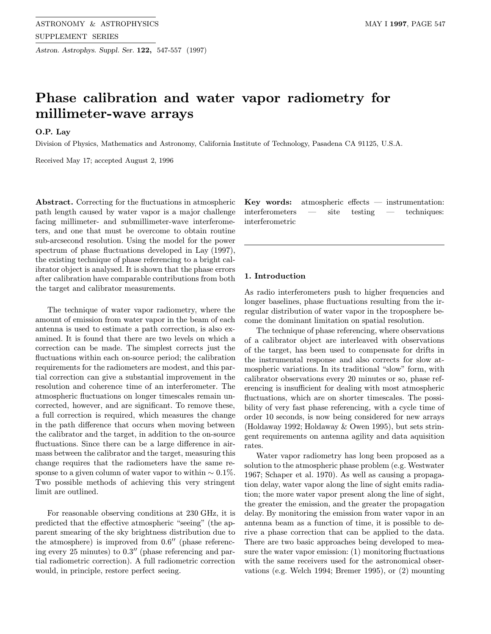Astron. Astrophys. Suppl. Ser. 122, 547-557 (1997)

# Phase calibration and water vapor radiometry for millimeter-wave arrays

O.P. Lay

Division of Physics, Mathematics and Astronomy, California Institute of Technology, Pasadena CA 91125, U.S.A.

Received May 17; accepted August 2, 1996

Abstract. Correcting for the fluctuations in atmospheric path length caused by water vapor is a major challenge facing millimeter- and submillimeter-wave interferometers, and one that must be overcome to obtain routine sub-arcsecond resolution. Using the model for the power spectrum of phase fluctuations developed in Lay (1997), the existing technique of phase referencing to a bright calibrator object is analysed. It is shown that the phase errors after calibration have comparable contributions from both the target and calibrator measurements.

The technique of water vapor radiometry, where the amount of emission from water vapor in the beam of each antenna is used to estimate a path correction, is also examined. It is found that there are two levels on which a correction can be made. The simplest corrects just the fluctuations within each on-source period; the calibration requirements for the radiometers are modest, and this partial correction can give a substantial improvement in the resolution and coherence time of an interferometer. The atmospheric fluctuations on longer timescales remain uncorrected, however, and are significant. To remove these, a full correction is required, which measures the change in the path difference that occurs when moving between the calibrator and the target, in addition to the on-source fluctuations. Since there can be a large difference in airmass between the calibrator and the target, measuring this change requires that the radiometers have the same response to a given column of water vapor to within  $\sim 0.1\%$ . Two possible methods of achieving this very stringent limit are outlined.

For reasonable observing conditions at 230 GHz, it is predicted that the effective atmospheric "seeing" (the apparent smearing of the sky brightness distribution due to the atmosphere) is improved from  $0.6$ <sup>"</sup> (phase referencing every 25 minutes) to  $0.3$ " (phase referencing and partial radiometric correction). A full radiometric correction would, in principle, restore perfect seeing.

Key words: atmospheric effects  $-$  instrumentation: interferometers — site testing — techniques: interferometric

# 1. Introduction

As radio interferometers push to higher frequencies and longer baselines, phase fluctuations resulting from the irregular distribution of water vapor in the troposphere become the dominant limitation on spatial resolution.

The technique of phase referencing, where observations of a calibrator object are interleaved with observations of the target, has been used to compensate for drifts in the instrumental response and also corrects for slow atmospheric variations. In its traditional "slow" form, with calibrator observations every 20 minutes or so, phase referencing is insufficient for dealing with most atmospheric fluctuations, which are on shorter timescales. The possibility of very fast phase referencing, with a cycle time of order 10 seconds, is now being considered for new arrays (Holdaway 1992; Holdaway & Owen 1995), but sets stringent requirements on antenna agility and data aquisition rates.

Water vapor radiometry has long been proposed as a solution to the atmospheric phase problem (e.g. Westwater 1967; Schaper et al. 1970). As well as causing a propagation delay, water vapor along the line of sight emits radiation; the more water vapor present along the line of sight, the greater the emission, and the greater the propagation delay. By monitoring the emission from water vapor in an antenna beam as a function of time, it is possible to derive a phase correction that can be applied to the data. There are two basic approaches being developed to measure the water vapor emission: (1) monitoring fluctuations with the same receivers used for the astronomical observations (e.g. Welch 1994; Bremer 1995), or (2) mounting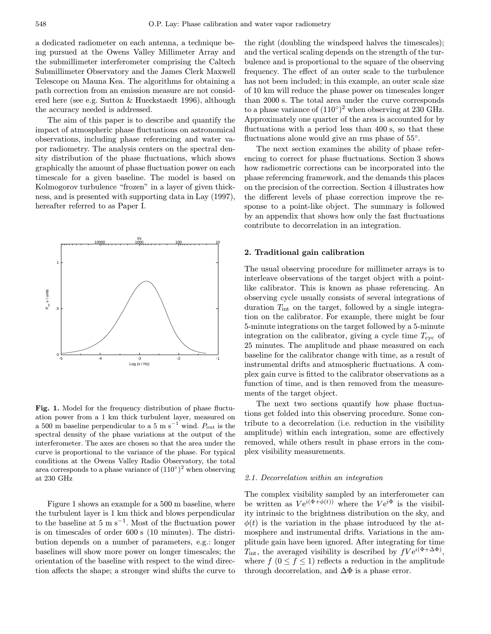a dedicated radiometer on each antenna, a technique being pursued at the Owens Valley Millimeter Array and the submillimeter interferometer comprising the Caltech Submillimeter Observatory and the James Clerk Maxwell Telescope on Mauna Kea. The algorithms for obtaining a path correction from an emission measure are not considered here (see e.g. Sutton & Hueckstaedt 1996), although the accuracy needed is addressed.

The aim of this paper is to describe and quantify the impact of atmospheric phase fluctuations on astronomical observations, including phase referencing and water vapor radiometry. The analysis centers on the spectral density distribution of the phase fluctuations, which shows graphically the amount of phase fluctuation power on each timescale for a given baseline. The model is based on Kolmogorov turbulence "frozen" in a layer of given thickness, and is presented with supporting data in Lay (1997), hereafter referred to as Paper I.



Fig. 1. Model for the frequency distribution of phase fluctuation power from a 1 km thick turbulent layer, measured on a 500 m baseline perpendicular to a 5 m s<sup>-1</sup> wind.  $P_{\text{out}}$  is the spectral density of the phase variations at the output of the interferometer. The axes are chosen so that the area under the curve is proportional to the variance of the phase. For typical conditions at the Owens Valley Radio Observatory, the total area corresponds to a phase variance of  $(110^{\circ})^2$  when observing at 230 GHz

Figure 1 shows an example for a 500 m baseline, where the turbulent layer is 1 km thick and blows perpendicular to the baseline at  $5 \text{ m s}^{-1}$ . Most of the fluctuation power is on timescales of order 600 s (10 minutes). The distribution depends on a number of parameters, e.g.: longer baselines will show more power on longer timescales; the orientation of the baseline with respect to the wind direction affects the shape; a stronger wind shifts the curve to

the right (doubling the windspeed halves the timescales); and the vertical scaling depends on the strength of the turbulence and is proportional to the square of the observing frequency. The effect of an outer scale to the turbulence has not been included; in this example, an outer scale size of 10 km will reduce the phase power on timescales longer than 2000 s. The total area under the curve corresponds to a phase variance of  $(110°)^2$  when observing at 230 GHz. Approximately one quarter of the area is accounted for by fluctuations with a period less than 400 s, so that these fluctuations alone would give an rms phase of  $55°$ .

The next section examines the ability of phase referencing to correct for phase fluctuations. Section 3 shows how radiometric corrections can be incorporated into the phase referencing framework, and the demands this places on the precision of the correction. Section 4 illustrates how the different levels of phase correction improve the response to a point-like object. The summary is followed by an appendix that shows how only the fast fluctuations contribute to decorrelation in an integration.

## 2. Traditional gain calibration

The usual observing procedure for millimeter arrays is to interleave observations of the target object with a pointlike calibrator. This is known as phase referencing. An observing cycle usually consists of several integrations of duration  $T_{\text{int}}$  on the target, followed by a single integration on the calibrator. For example, there might be four 5-minute integrations on the target followed by a 5-minute integration on the calibrator, giving a cycle time  $T_{\rm cyc}$  of 25 minutes. The amplitude and phase measured on each baseline for the calibrator change with time, as a result of instrumental drifts and atmospheric fluctuations. A complex gain curve is fitted to the calibrator observations as a function of time, and is then removed from the measurements of the target object.

The next two sections quantify how phase fluctuations get folded into this observing procedure. Some contribute to a decorrelation (i.e. reduction in the visibility amplitude) within each integration, some are effectively removed, while others result in phase errors in the complex visibility measurements.

# 2.1. Decorrelation within an integration

The complex visibility sampled by an interferometer can be written as  $Ve^{i(\Phi + \phi(t))}$  where the  $Ve^{i\Phi}$  is the visibility intrinsic to the brightness distribution on the sky, and  $\phi(t)$  is the variation in the phase introduced by the atmosphere and instrumental drifts. Variations in the amplitude gain have been ignored. After integrating for time  $T_{\text{int}}$ , the averaged visibility is described by  $fVe^{i(\Phi+\Delta\Phi)}$ , where  $f(0 \le f \le 1)$  reflects a reduction in the amplitude through decorrelation, and  $\Delta\Phi$  is a phase error.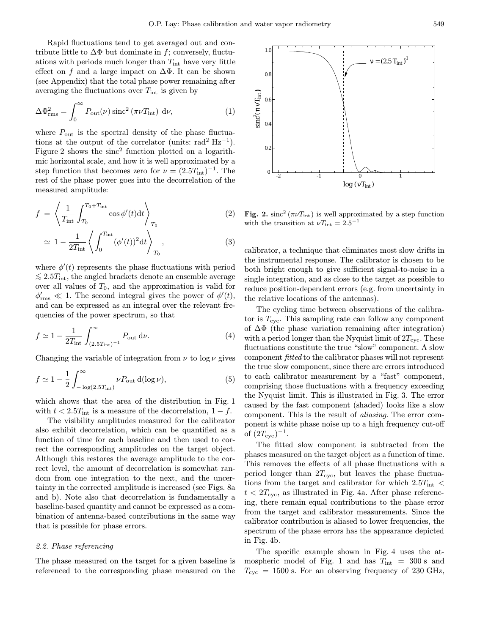Rapid fluctuations tend to get averaged out and contribute little to  $\Delta\Phi$  but dominate in f; conversely, fluctuations with periods much longer than  $T_{\text{int}}$  have very little effect on f and a large impact on  $\Delta\Phi$ . It can be shown (see Appendix) that the total phase power remaining after averaging the fluctuations over  $T_{\text{int}}$  is given by

$$
\Delta\Phi_{\rm rms}^2 = \int_0^\infty P_{\rm out}(\nu)\,{\rm sinc}^2\,(\pi\nu T_{\rm int})\,\,\mathrm{d}\nu,\tag{1}
$$

where  $P_{\text{out}}$  is the spectral density of the phase fluctuations at the output of the correlator (units: rad<sup>2</sup> Hz<sup>-1</sup>). Figure 2 shows the  $\text{sinc}^2$  function plotted on a logarithmic horizontal scale, and how it is well approximated by a step function that becomes zero for  $\nu = (2.5T_{\text{int}})^{-1}$ . The rest of the phase power goes into the decorrelation of the measured amplitude:

$$
f = \left\langle \frac{1}{T_{\text{int}}} \int_{T_0}^{T_0 + T_{\text{int}}} \cos \phi'(t) dt \right\rangle_{T_0}
$$
 (2)

$$
\simeq 1 - \frac{1}{2T_{\rm int}} \left\langle \int_0^{T_{\rm int}} (\phi'(t))^2 dt \right\rangle_{T_0}, \qquad (3)
$$

where  $\phi'(t)$  represents the phase fluctuations with period  $\lesssim 2.5T_{\rm int}$ , the angled brackets denote an ensemble average over all values of  $T_0$ , and the approximation is valid for  $\phi_{\text{rms}}' \ll 1$ . The second integral gives the power of  $\phi'(t)$ , and can be expressed as an integral over the relevant frequencies of the power spectrum, so that

$$
f \simeq 1 - \frac{1}{2T_{\text{int}}} \int_{(2.5T_{\text{int}})^{-1}}^{\infty} P_{\text{out}} \, d\nu.
$$
 (4)

Changing the variable of integration from  $\nu$  to log  $\nu$  gives

$$
f \simeq 1 - \frac{1}{2} \int_{-\log(2.5T_{\text{int}})}^{\infty} \nu P_{\text{out}} d(\log \nu), \tag{5}
$$

which shows that the area of the distribution in Fig. 1 with  $t < 2.5T_{\text{int}}$  is a measure of the decorrelation,  $1 - f$ .

The visibility amplitudes measured for the calibrator also exhibit decorrelation, which can be quantified as a function of time for each baseline and then used to correct the corresponding amplitudes on the target object. Although this restores the average amplitude to the correct level, the amount of decorrelation is somewhat random from one integration to the next, and the uncertainty in the corrected amplitude is increased (see Figs. 8a and b). Note also that decorrelation is fundamentally a baseline-based quantity and cannot be expressed as a combination of antenna-based contributions in the same way that is possible for phase errors.

# 2.2. Phase referencing

The phase measured on the target for a given baseline is referenced to the corresponding phase measured on the



Fig. 2. sinc<sup>2</sup> ( $\pi \nu T_{\text{int}}$ ) is well approximated by a step function with the transition at  $\nu T_{\text{int}} = 2.5^{-1}$ 

calibrator, a technique that eliminates most slow drifts in the instrumental response. The calibrator is chosen to be both bright enough to give sufficient signal-to-noise in a single integration, and as close to the target as possible to reduce position-dependent errors (e.g. from uncertainty in the relative locations of the antennas).

The cycling time between observations of the calibrator is  $T_{\rm cyc}$ . This sampling rate can follow any component of  $\Delta\Phi$  (the phase variation remaining after integration) with a period longer than the Nyquist limit of  $2T_{\rm cyc}$ . These fluctuations constitute the true "slow" component. A slow component fitted to the calibrator phases will not represent the true slow component, since there are errors introduced to each calibrator measurement by a "fast" component, comprising those fluctuations with a frequency exceeding the Nyquist limit. This is illustrated in Fig. 3. The error caused by the fast component (shaded) looks like a slow component. This is the result of aliasing. The error component is white phase noise up to a high frequency cut-off of  $(2T_{\rm cyc})^{-1}$ .

The fitted slow component is subtracted from the phases measured on the target object as a function of time. This removes the effects of all phase fluctuations with a period longer than  $2T_{\rm cyc}$ , but leaves the phase fluctuations from the target and calibrator for which  $2.5T_{\text{int}}$  <  $t < 2T_{\rm cyc}$ , as illustrated in Fig. 4a. After phase referencing, there remain equal contributions to the phase error from the target and calibrator measurements. Since the calibrator contribution is aliased to lower frequencies, the spectrum of the phase errors has the appearance depicted in Fig. 4b.

The specific example shown in Fig. 4 uses the atmospheric model of Fig. 1 and has  $T_{\text{int}} = 300 \text{ s and}$  $T_{\rm cyc}$  = 1500 s. For an observing frequency of 230 GHz,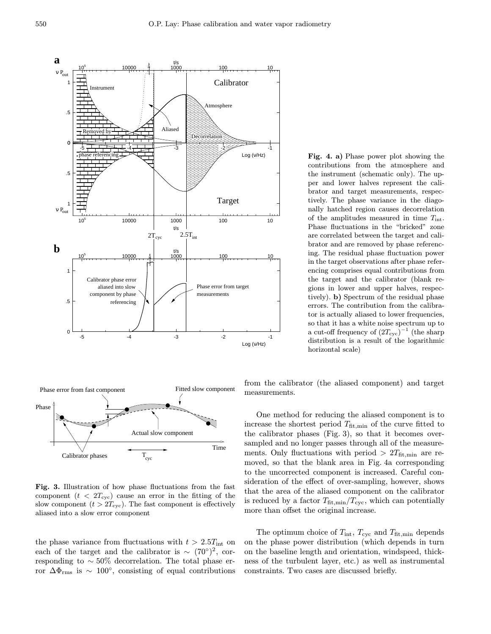



Fig. 3. Illustration of how phase fluctuations from the fast component  $(t < 2T_{\rm cyc})$  cause an error in the fitting of the slow component  $(t > 2T_{\text{cyc}})$ . The fast component is effectively aliased into a slow error component

the phase variance from fluctuations with  $t > 2.5T_{\text{int}}$  on each of the target and the calibrator is  $\sim (70°)^2$ , corresponding to ∼ 50% decorrelation. The total phase error  $\Delta\Phi_{\rm rms}$  is ~ 100°, consisting of equal contributions Fig. 4. a) Phase power plot showing the contributions from the atmosphere and the instrument (schematic only). The upper and lower halves represent the calibrator and target measurements, respectively. The phase variance in the diagonally hatched region causes decorrelation of the amplitudes measured in time  $T_{\text{int}}$ . Phase fluctuations in the "bricked" zone are correlated between the target and calibrator and are removed by phase referencing. The residual phase fluctuation power in the target observations after phase referencing comprises equal contributions from the target and the calibrator (blank regions in lower and upper halves, respectively). b) Spectrum of the residual phase errors. The contribution from the calibrator is actually aliased to lower frequencies, so that it has a white noise spectrum up to a cut-off frequency of  $(2T_{\text{cyc}})^{-1}$  (the sharp distribution is a result of the logarithmic horizontal scale)

from the calibrator (the aliased component) and target measurements.

One method for reducing the aliased component is to increase the shortest period  $T_{\text{fit,min}}$  of the curve fitted to the calibrator phases (Fig. 3), so that it becomes oversampled and no longer passes through all of the measurements. Only fluctuations with period  $> 2T_{\text{fit,min}}$  are removed, so that the blank area in Fig. 4a corresponding to the uncorrected component is increased. Careful consideration of the effect of over-sampling, however, shows that the area of the aliased component on the calibrator is reduced by a factor  $T_{\text{fit,min}}/T_{\text{cyc}}$ , which can potentially more than offset the original increase.

The optimum choice of  $T_{\text{int}}$ ,  $T_{\text{cyc}}$  and  $T_{\text{fit,min}}$  depends on the phase power distribution (which depends in turn on the baseline length and orientation, windspeed, thickness of the turbulent layer, etc.) as well as instrumental constraints. Two cases are discussed briefly.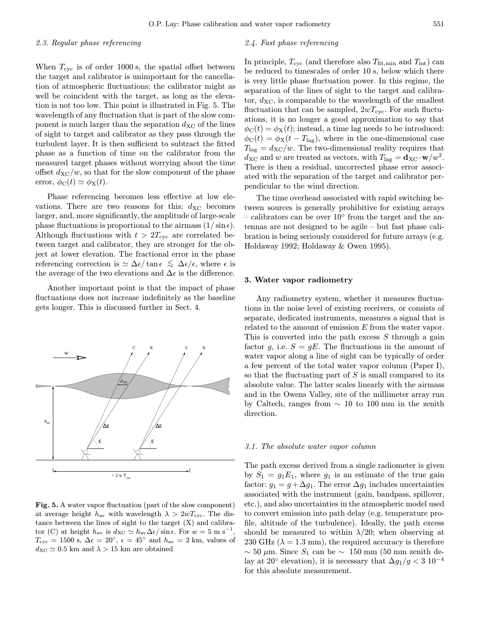#### 2.3. Regular phase referencing

When  $T_{\rm cyc}$  is of order 1000 s, the spatial offset between the target and calibrator is unimportant for the cancellation of atmospheric fluctuations; the calibrator might as well be coincident with the target, as long as the elevation is not too low. This point is illustrated in Fig. 5. The wavelength of any fluctuation that is part of the slow component is much larger than the separation  $d_{\text{XC}}$  of the lines of sight to target and calibrator as they pass through the turbulent layer. It is then sufficient to subtract the fitted phase as a function of time on the calibrator from the measured target phases without worrying about the time offset  $d_{\text{XC}}/w$ , so that for the slow component of the phase error,  $\phi_C(t) \simeq \phi_X(t)$ .

Phase referencing becomes less effective at low elevations. There are two reasons for this:  $d_{\text{XC}}$  becomes larger, and, more significantly, the amplitude of large-scale phase fluctuations is proportional to the airmass  $(1/\sin \epsilon)$ . Although fluctuations with  $t > 2T_{\text{cyc}}$  are correlated between target and calibrator, they are stronger for the object at lower elevation. The fractional error in the phase referencing correction is  $\simeq \Delta \epsilon / \tan \epsilon \lesssim \Delta \epsilon / \epsilon$ , where  $\epsilon$  is the average of the two elevations and  $\Delta \epsilon$  is the difference.

Another important point is that the impact of phase fluctuations does not increase indefinitely as the baseline gets longer. This is discussed further in Sect. 4.



Fig. 5. A water vapor fluctuation (part of the slow component) at average height  $h_{av}$  with wavelength  $\lambda > 2wT_{\text{cyc}}$ . The distance between the lines of sight to the target (X) and calibrator (C) at height  $h_{\text{av}}$  is  $d_{\text{XC}} \simeq h_{\text{av}}\Delta\epsilon/\sin\epsilon$ . For  $w = 5 \text{ m s}^{-1}$ ,  $T_{\rm cyc} = 1500$  s,  $\Delta \epsilon = 20^{\circ}$ ,  $\epsilon = 45^{\circ}$  and  $h_{\rm av} = 2$  km, values of  $d_{\text{XC}} \simeq 0.5$  km and  $\lambda > 15$  km are obtained

# 2.4. Fast phase referencing

In principle,  $T_{\rm cyc}$  (and therefore also  $T_{\rm fit,min}$  and  $T_{\rm int}$ ) can be reduced to timescales of order 10 s, below which there is very little phase fluctuation power. In this regime, the separation of the lines of sight to the target and calibrator,  $d_{\text{XC}}$ , is comparable to the wavelength of the smallest fluctuation that can be sampled,  $2wT_{\text{cyc}}$ . For such fluctuations, it is no longer a good approximation to say that  $\phi_{\rm C}(t) = \phi_{\rm X}(t)$ ; instead, a time lag needs to be introduced:  $\phi_{\rm C}(t) = \phi_{\rm X}(t - T_{\rm lag})$ , where in the one-dimensional case  $T_{\text{lag}} = d_{\text{XC}}/w$ . The two-dimensional reality requires that  $d_{\text{XC}}$  and w are treated as vectors, with  $T_{\text{lag}} = \mathbf{d}_{\text{XC}} \cdot \mathbf{w}/w^2$ . There is then a residual, uncorrected phase error associated with the separation of the target and calibrator perpendicular to the wind direction.

The time overhead associated with rapid switching between sources is generally prohibitive for existing arrays – calibrators can be over  $10°$  from the target and the antennas are not designed to be agile – but fast phase calibration is being seriously considered for future arrays (e.g. Holdaway 1992; Holdaway & Owen 1995).

#### 3. Water vapor radiometry

Any radiometry system, whether it measures fluctuations in the noise level of existing receivers, or consists of separate, dedicated instruments, measures a signal that is related to the amount of emission E from the water vapor. This is converted into the path excess  $S$  through a gain factor g, i.e.  $S = gE$ . The fluctuations in the amount of water vapor along a line of sight can be typically of order a few percent of the total water vapor column (Paper I), so that the fluctuating part of  $S$  is small compared to its absolute value. The latter scales linearly with the airmass and in the Owens Valley, site of the millimeter array run by Caltech, ranges from ∼ 10 to 100 mm in the zenith direction.

#### 3.1. The absolute water vapor column

The path excess derived from a single radiometer is given by  $S_1 = g_1 E_1$ , where  $g_1$  is an estimate of the true gain factor:  $g_1 = g + \Delta g_1$ . The error  $\Delta g_1$  includes uncertainties associated with the instrument (gain, bandpass, spillover, etc.), and also uncertainties in the atmospheric model used to convert emission into path delay (e.g. temperature profile, altitude of the turbulence). Ideally, the path excess should be measured to within  $\lambda/20$ ; when observing at 230 GHz ( $\lambda = 1.3$  mm), the required accuracy is therefore  $\sim$  50 µm. Since S<sub>1</sub> can be  $\sim$  150 mm (50 mm zenith delay at 20° elevation), it is necessary that  $\Delta g_1/g < 3 \cdot 10^{-4}$ for this absolute measurement.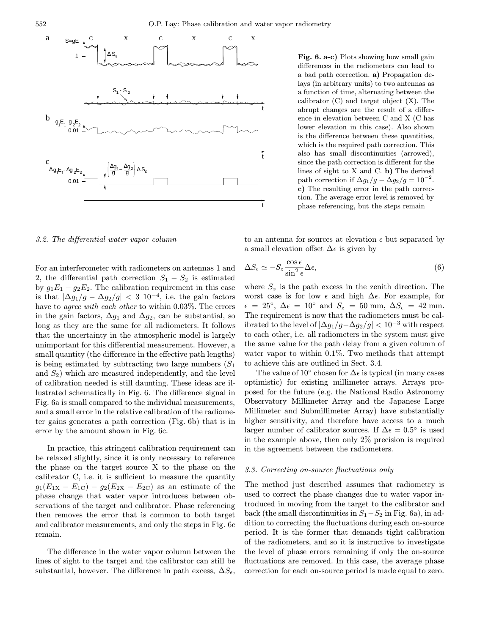

Fig. 6. a-c) Plots showing how small gain differences in the radiometers can lead to a bad path correction. a) Propagation delays (in arbitrary units) to two antennas as a function of time, alternating between the calibrator (C) and target object (X). The abrupt changes are the result of a difference in elevation between C and X (C has lower elevation in this case). Also shown is the difference between these quantities, which is the required path correction. This also has small discontinuities (arrowed), since the path correction is different for the lines of sight to X and C. b) The derived path correction if  $\Delta g_1/g - \Delta g_2/g = 10^{-2}$ . c) The resulting error in the path correction. The average error level is removed by phase referencing, but the steps remain

3.2. The differential water vapor column

For an interferometer with radiometers on antennas 1 and 2, the differential path correction  $S_1 - S_2$  is estimated by  $g_1E_1 - g_2E_2$ . The calibration requirement in this case is that  $|\Delta g_1/g - \Delta g_2/g| < 3 \, 10^{-4}$ , i.e. the gain factors have to agree with each other to within 0.03%. The errors in the gain factors,  $\Delta g_1$  and  $\Delta g_2$ , can be substantial, so long as they are the same for all radiometers. It follows that the uncertainty in the atmospheric model is largely unimportant for this differential measurement. However, a small quantity (the difference in the effective path lengths) is being estimated by subtracting two large numbers  $(S_1)$ and  $S_2$ ) which are measured independently, and the level of calibration needed is still daunting. These ideas are illustrated schematically in Fig. 6. The difference signal in Fig. 6a is small compared to the individual measurements, and a small error in the relative calibration of the radiometer gains generates a path correction (Fig. 6b) that is in error by the amount shown in Fig. 6c.

In practice, this stringent calibration requirement can be relaxed slightly, since it is only necessary to reference the phase on the target source X to the phase on the calibrator C, i.e. it is sufficient to measure the quantity  $g_1(E_{1X} - E_{1C}) - g_2(E_{2X} - E_{2C})$  as an estimate of the phase change that water vapor introduces between observations of the target and calibrator. Phase referencing then removes the error that is common to both target and calibrator measurements, and only the steps in Fig. 6c remain.

The difference in the water vapor column between the lines of sight to the target and the calibrator can still be substantial, however. The difference in path excess,  $\Delta S_{\epsilon}$ ,

to an antenna for sources at elevation  $\epsilon$  but separated by a small elevation offset  $\Delta \epsilon$  is given by

$$
\Delta S_{\epsilon} \simeq -S_z \frac{\cos \epsilon}{\sin^2 \epsilon} \Delta \epsilon, \tag{6}
$$

where  $S_z$  is the path excess in the zenith direction. The worst case is for low  $\epsilon$  and high  $\Delta \epsilon$ . For example, for  $\epsilon = 25^{\circ}, \Delta \epsilon = 10^{\circ}$  and  $S_z = 50$  mm,  $\Delta S_{\epsilon} = 42$  mm. The requirement is now that the radiometers must be calibrated to the level of  $|\Delta g_1/g-\Delta g_2/g| < 10^{-3}$  with respect to each other, i.e. all radiometers in the system must give the same value for the path delay from a given column of water vapor to within 0.1%. Two methods that attempt to achieve this are outlined in Sect. 3.4.

The value of 10 $\degree$  chosen for  $\Delta \epsilon$  is typical (in many cases optimistic) for existing millimeter arrays. Arrays proposed for the future (e.g. the National Radio Astronomy Observatory Millimeter Array and the Japanese Large Millimeter and Submillimeter Array) have substantially higher sensitivity, and therefore have access to a much larger number of calibrator sources. If  $\Delta \epsilon = 0.5^{\circ}$  is used in the example above, then only 2% precision is required in the agreement between the radiometers.

#### 3.3. Correcting on-source fluctuations only

The method just described assumes that radiometry is used to correct the phase changes due to water vapor introduced in moving from the target to the calibrator and back (the small discontinuities in  $S_1-S_2$  in Fig. 6a), in addition to correcting the fluctuations during each on-source period. It is the former that demands tight calibration of the radiometers, and so it is instructive to investigate the level of phase errors remaining if only the on-source fluctuations are removed. In this case, the average phase correction for each on-source period is made equal to zero.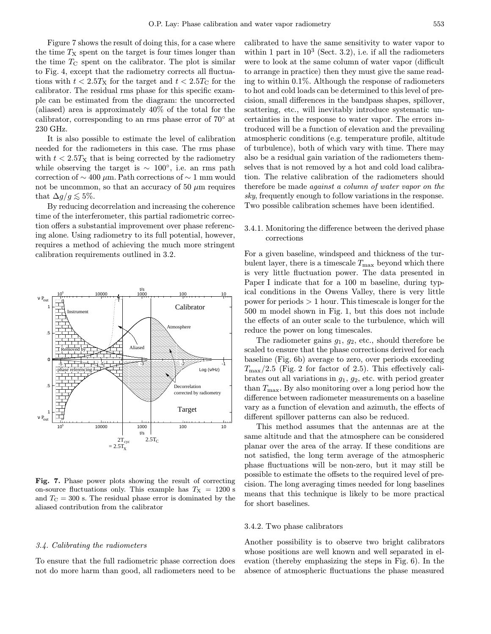Figure 7 shows the result of doing this, for a case where the time  $T<sub>X</sub>$  spent on the target is four times longer than the time  $T_{\rm C}$  spent on the calibrator. The plot is similar to Fig. 4, except that the radiometry corrects all fluctuations with  $t < 2.5T<sub>X</sub>$  for the target and  $t < 2.5T<sub>C</sub>$  for the calibrator. The residual rms phase for this specific example can be estimated from the diagram: the uncorrected (aliased) area is approximately 40% of the total for the calibrator, corresponding to an rms phase error of 70◦ at 230 GHz.

It is also possible to estimate the level of calibration needed for the radiometers in this case. The rms phase with  $t < 2.5T<sub>X</sub>$  that is being corrected by the radiometry while observing the target is  $\sim 100^{\circ}$ , i.e. an rms path correction of  $\sim$  400 µm. Path corrections of  $\sim$  1 mm would not be uncommon, so that an accuracy of 50  $\mu$ m requires that  $\Delta g/g \lesssim 5\%$ .

By reducing decorrelation and increasing the coherence time of the interferometer, this partial radiometric correction offers a substantial improvement over phase referencing alone. Using radiometry to its full potential, however, requires a method of achieving the much more stringent calibration requirements outlined in 3.2.



Fig. 7. Phase power plots showing the result of correcting on-source fluctuations only. This example has  $T_X = 1200$  s and  $T_{\rm C} = 300$  s. The residual phase error is dominated by the aliased contribution from the calibrator

## 3.4. Calibrating the radiometers

To ensure that the full radiometric phase correction does not do more harm than good, all radiometers need to be

calibrated to have the same sensitivity to water vapor to within 1 part in  $10^3$  (Sect. 3.2), i.e. if all the radiometers were to look at the same column of water vapor (difficult to arrange in practice) then they must give the same reading to within 0.1%. Although the response of radiometers to hot and cold loads can be determined to this level of precision, small differences in the bandpass shapes, spillover, scattering, etc., will inevitably introduce systematic uncertainties in the response to water vapor. The errors introduced will be a function of elevation and the prevailing atmospheric conditions (e.g. temperature profile, altitude of turbulence), both of which vary with time. There may also be a residual gain variation of the radiometers themselves that is not removed by a hot and cold load calibration. The relative calibration of the radiometers should therefore be made against a column of water vapor on the sky, frequently enough to follow variations in the response. Two possible calibration schemes have been identified.

# 3.4.1. Monitoring the difference between the derived phase corrections

For a given baseline, windspeed and thickness of the turbulent layer, there is a timescale  $T_{\text{max}}$  beyond which there is very little fluctuation power. The data presented in Paper I indicate that for a 100 m baseline, during typical conditions in the Owens Valley, there is very little power for periods  $> 1$  hour. This timescale is longer for the 500 m model shown in Fig. 1, but this does not include the effects of an outer scale to the turbulence, which will reduce the power on long timescales.

The radiometer gains  $g_1, g_2$ , etc., should therefore be scaled to ensure that the phase corrections derived for each baseline (Fig. 6b) average to zero, over periods exceeding  $T_{\text{max}}/2.5$  (Fig. 2 for factor of 2.5). This effectively calibrates out all variations in  $g_1, g_2$ , etc. with period greater than  $T_{\text{max}}$ . By also monitoring over a long period how the difference between radiometer measurements on a baseline vary as a function of elevation and azimuth, the effects of different spillover patterns can also be reduced.

This method assumes that the antennas are at the same altitude and that the atmosphere can be considered planar over the area of the array. If these conditions are not satisfied, the long term average of the atmospheric phase fluctuations will be non-zero, but it may still be possible to estimate the offsets to the required level of precision. The long averaging times needed for long baselines means that this technique is likely to be more practical for short baselines.

#### 3.4.2. Two phase calibrators

Another possibility is to observe two bright calibrators whose positions are well known and well separated in elevation (thereby emphasizing the steps in Fig. 6). In the absence of atmospheric fluctuations the phase measured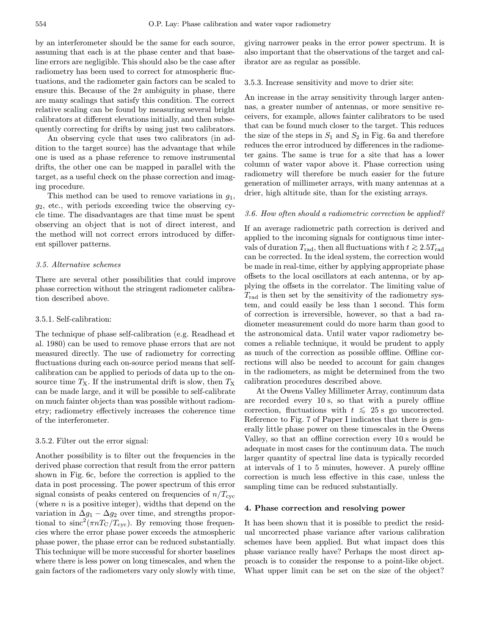by an interferometer should be the same for each source, assuming that each is at the phase center and that baseline errors are negligible. This should also be the case after radiometry has been used to correct for atmospheric fluctuations, and the radiometer gain factors can be scaled to ensure this. Because of the  $2\pi$  ambiguity in phase, there are many scalings that satisfy this condition. The correct relative scaling can be found by measuring several bright calibrators at different elevations initially, and then subsequently correcting for drifts by using just two calibrators.

An observing cycle that uses two calibrators (in addition to the target source) has the advantage that while one is used as a phase reference to remove instrumental drifts, the other one can be mapped in parallel with the target, as a useful check on the phase correction and imaging procedure.

This method can be used to remove variations in  $q_1$ ,  $g_2$ , etc., with periods exceeding twice the observing cycle time. The disadvantages are that time must be spent observing an object that is not of direct interest, and the method will not correct errors introduced by different spillover patterns.

# 3.5. Alternative schemes

There are several other possibilities that could improve phase correction without the stringent radiometer calibration described above.

## 3.5.1. Self-calibration:

The technique of phase self-calibration (e.g. Readhead et al. 1980) can be used to remove phase errors that are not measured directly. The use of radiometry for correcting fluctuations during each on-source period means that selfcalibration can be applied to periods of data up to the onsource time  $T_{\rm X}$ . If the instrumental drift is slow, then  $T_{\rm X}$ can be made large, and it will be possible to self-calibrate on much fainter objects than was possible without radiometry; radiometry effectively increases the coherence time of the interferometer.

#### 3.5.2. Filter out the error signal:

Another possibility is to filter out the frequencies in the derived phase correction that result from the error pattern shown in Fig. 6c, before the correction is applied to the data in post processing. The power spectrum of this error signal consists of peaks centered on frequencies of  $n/T_{\text{cyc}}$ (where  $n$  is a positive integer), widths that depend on the variation in  $\Delta g_1 - \Delta g_2$  over time, and strengths proportional to  $\text{sinc}^2(\pi n T_{\text{C}}/T_{\text{cyc}})$ . By removing those frequencies where the error phase power exceeds the atmospheric phase power, the phase error can be reduced substantially. This technique will be more successful for shorter baselines where there is less power on long timescales, and when the gain factors of the radiometers vary only slowly with time, giving narrower peaks in the error power spectrum. It is also important that the observations of the target and calibrator are as regular as possible.

## 3.5.3. Increase sensitivity and move to drier site:

An increase in the array sensitivity through larger antennas, a greater number of antennas, or more sensitive receivers, for example, allows fainter calibrators to be used that can be found much closer to the target. This reduces the size of the steps in  $S_1$  and  $S_2$  in Fig. 6a and therefore reduces the error introduced by differences in the radiometer gains. The same is true for a site that has a lower column of water vapor above it. Phase correction using radiometry will therefore be much easier for the future generation of millimeter arrays, with many antennas at a drier, high altitude site, than for the existing arrays.

## 3.6. How often should a radiometric correction be applied?

If an average radiometric path correction is derived and applied to the incoming signals for contiguous time intervals of duration  $T_{\text{rad}}$ , then all fluctuations with  $t \gtrsim 2.5T_{\text{rad}}$ can be corrected. In the ideal system, the correction would be made in real-time, either by applying appropriate phase offsets to the local oscillators at each antenna, or by applying the offsets in the correlator. The limiting value of  $T_{\rm rad}$  is then set by the sensitivity of the radiometry system, and could easily be less than 1 second. This form of correction is irreversible, however, so that a bad radiometer measurement could do more harm than good to the astronomical data. Until water vapor radiometry becomes a reliable technique, it would be prudent to apply as much of the correction as possible offline. Offline corrections will also be needed to account for gain changes in the radiometers, as might be determined from the two calibration procedures described above.

At the Owens Valley Millimeter Array, continuum data are recorded every 10 s, so that with a purely offline correction, fluctuations with  $t \leq 25$  s go uncorrected. Reference to Fig. 7 of Paper I indicates that there is generally little phase power on these timescales in the Owens Valley, so that an offline correction every 10 s would be adequate in most cases for the continuum data. The much larger quantity of spectral line data is typically recorded at intervals of 1 to 5 minutes, however. A purely offline correction is much less effective in this case, unless the sampling time can be reduced substantially.

#### 4. Phase correction and resolving power

It has been shown that it is possible to predict the residual uncorrected phase variance after various calibration schemes have been applied. But what impact does this phase variance really have? Perhaps the most direct approach is to consider the response to a point-like object. What upper limit can be set on the size of the object?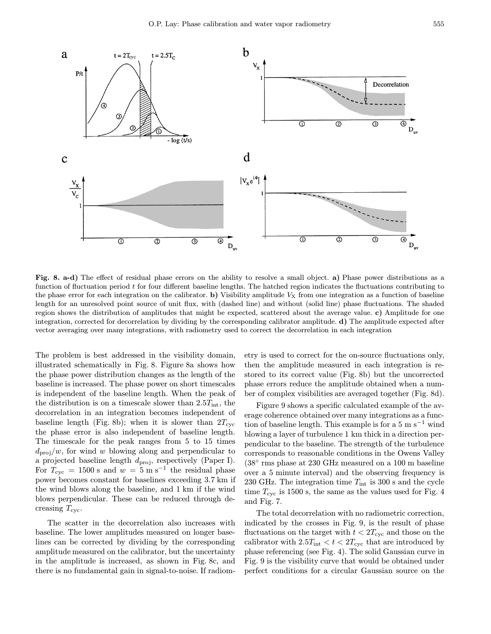

Fig. 8. a-d) The effect of residual phase errors on the ability to resolve a small object. a) Phase power distributions as a function of fluctuation period t for four different baseline lengths. The hatched region indicates the fluctuations contributing to the phase error for each integration on the calibrator. b) Visibility amplitude  $V<sub>X</sub>$  from one integration as a function of baseline length for an unresolved point source of unit flux, with (dashed line) and without (solid line) phase fluctuations. The shaded region shows the distribution of amplitudes that might be expected, scattered about the average value. c) Amplitude for one integration, corrected for decorrelation by dividing by the corresponding calibrator amplitude. d) The amplitude expected after vector averaging over many integrations, with radiometry used to correct the decorrelation in each integration

The problem is best addressed in the visibility domain, illustrated schematically in Fig. 8. Figure 8a shows how the phase power distribution changes as the length of the baseline is increased. The phase power on short timescales is independent of the baseline length. When the peak of the distribution is on a timescale slower than  $2.5T_{\text{int}}$ , the decorrelation in an integration becomes independent of baseline length (Fig. 8b); when it is slower than  $2T_{\rm cyc}$ the phase error is also independent of baseline length. The timescale for the peak ranges from 5 to 15 times  $d_{\text{proj}}/w$ , for wind w blowing along and perpendicular to a projected baseline length  $d_{\text{proj}}$ , respectively (Paper I). For  $T_{\text{cyc}} = 1500 \text{ s}$  and  $w = 5 \text{ m s}^{-1}$  the residual phase power becomes constant for baselines exceeding 3.7 km if the wind blows along the baseline, and 1 km if the wind blows perpendicular. These can be reduced through decreasing  $T_{\rm cyc}$ .

The scatter in the decorrelation also increases with baseline. The lower amplitudes measured on longer baselines can be corrected by dividing by the corresponding amplitude measured on the calibrator, but the uncertainty in the amplitude is increased, as shown in Fig. 8c, and there is no fundamental gain in signal-to-noise. If radiometry is used to correct for the on-source fluctuations only, then the amplitude measured in each integration is restored to its correct value (Fig. 8b) but the uncorrected phase errors reduce the amplitude obtained when a number of complex visibilities are averaged together (Fig. 8d).

Figure 9 shows a specific calculated example of the average coherence obtained over many integrations as a function of baseline length. This example is for a  $5 \text{ m s}^{-1}$  wind blowing a layer of turbulence 1 km thick in a direction perpendicular to the baseline. The strength of the turbulence corresponds to reasonable conditions in the Owens Valley (38◦ rms phase at 230 GHz measured on a 100 m baseline over a 5 minute interval) and the observing frequency is 230 GHz. The integration time  $T_{\text{int}}$  is 300 s and the cycle time  $T_{\rm cyc}$  is 1500 s, the same as the values used for Fig. 4 and Fig. 7.

The total decorrelation with no radiometric correction, indicated by the crosses in Fig. 9, is the result of phase fluctuations on the target with  $t < 2T_{\rm cyc}$  and those on the calibrator with  $2.5T_{\text{int}} < t < 2T_{\text{cyc}}$  that are introduced by phase referencing (see Fig. 4). The solid Gaussian curve in Fig. 9 is the visibility curve that would be obtained under perfect conditions for a circular Gaussian source on the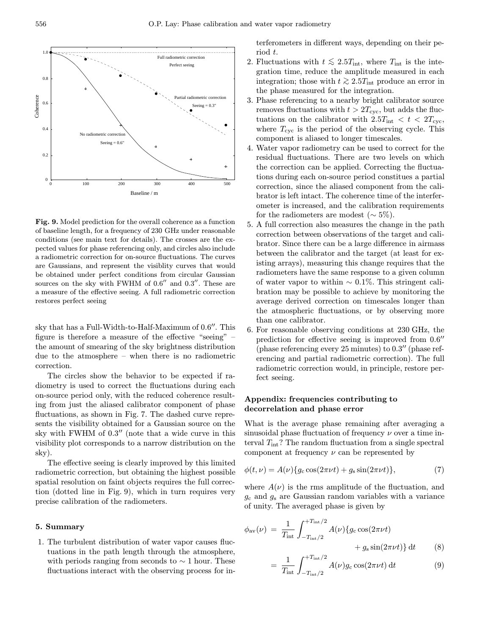

Fig. 9. Model prediction for the overall coherence as a function of baseline length, for a frequency of 230 GHz under reasonable conditions (see main text for details). The crosses are the expected values for phase referencing only, and circles also include a radiometric correction for on-source fluctuations. The curves are Gaussians, and represent the visiblity curves that would be obtained under perfect conditions from circular Gaussian sources on the sky with FWHM of  $0.6''$  and  $0.3''$ . These are a measure of the effective seeing. A full radiometric correction restores perfect seeing

sky that has a Full-Width-to-Half-Maximum of  $0.6$ . This figure is therefore a measure of the effective "seeing" – the amount of smearing of the sky brightness distribution due to the atmosphere – when there is no radiometric correction.

The circles show the behavior to be expected if radiometry is used to correct the fluctuations during each on-source period only, with the reduced coherence resulting from just the aliased calibrator component of phase fluctuations, as shown in Fig. 7. The dashed curve represents the visibility obtained for a Gaussian source on the sky with FWHM of  $0.3''$  (note that a wide curve in this visibility plot corresponds to a narrow distribution on the sky).

The effective seeing is clearly improved by this limited radiometric correction, but obtaining the highest possible spatial resolution on faint objects requires the full correction (dotted line in Fig. 9), which in turn requires very precise calibration of the radiometers.

# 5. Summary

1. The turbulent distribution of water vapor causes fluctuations in the path length through the atmosphere, with periods ranging from seconds to  $\sim$  1 hour. These fluctuations interact with the observing process for interferometers in different ways, depending on their period t.

- 2. Fluctuations with  $t \le 2.5T_{\text{int}}$ , where  $T_{\text{int}}$  is the integration time, reduce the amplitude measured in each integration; those with  $t \geq 2.5T_{\text{int}}$  produce an error in the phase measured for the integration.
- 3. Phase referencing to a nearby bright calibrator source removes fluctuations with  $t > 2T_{\text{cyc}}$ , but adds the fluctuations on the calibrator with  $2.5T_{\text{int}} < t < 2T_{\text{cyc}}$ , where  $T_{\rm cyc}$  is the period of the observing cycle. This component is aliased to longer timescales.
- 4. Water vapor radiometry can be used to correct for the residual fluctuations. There are two levels on which the correction can be applied. Correcting the fluctuations during each on-source period constitues a partial correction, since the aliased component from the calibrator is left intact. The coherence time of the interferometer is increased, and the calibration requirements for the radiometers are modest ( $\sim$  5%).
- 5. A full correction also measures the change in the path correction between observations of the target and calibrator. Since there can be a large difference in airmass between the calibrator and the target (at least for existing arrays), measuring this change requires that the radiometers have the same response to a given column of water vapor to within  $\sim 0.1\%$ . This stringent calibration may be possible to achieve by monitoring the average derived correction on timescales longer than the atmospheric fluctuations, or by observing more than one calibrator.
- 6. For reasonable observing conditions at 230 GHz, the prediction for effective seeing is improved from  $0.6$ <sup>"</sup> (phase referencing every 25 minutes) to  $0.3$ <sup>"</sup> (phase referencing and partial radiometric correction). The full radiometric correction would, in principle, restore perfect seeing.

# Appendix: frequencies contributing to decorrelation and phase error

What is the average phase remaining after averaging a sinusoidal phase fluctuation of frequency  $\nu$  over a time interval  $T_{\text{int}}$ ? The random fluctuation from a single spectral component at frequency  $\nu$  can be represented by

$$
\phi(t,\nu) = A(\nu)\{g_c \cos(2\pi\nu t) + g_s \sin(2\pi\nu t)\},\tag{7}
$$

where  $A(\nu)$  is the rms amplitude of the fluctuation, and  $g_c$  and  $g_s$  are Gaussian random variables with a variance of unity. The averaged phase is given by

$$
\phi_{\rm av}(\nu) = \frac{1}{T_{\rm int}} \int_{-T_{\rm int}/2}^{+T_{\rm int}/2} A(\nu) \{g_{\rm c} \cos(2\pi\nu t) + g_{\rm s} \sin(2\pi\nu t)\} dt \qquad (8)
$$

$$
= \frac{1}{T_{\rm int}} \int_{-T_{\rm int}/2}^{+T_{\rm int}/2} A(\nu) g_{\rm c} \cos(2\pi \nu t) dt \tag{9}
$$